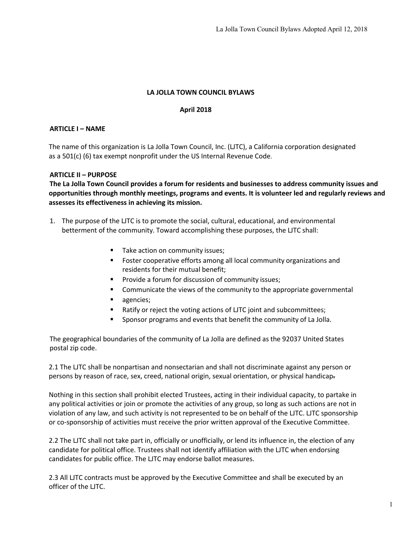# **LA JOLLA TOWN COUNCIL BYLAWS**

#### **April 2018**

#### **ARTICLE I – NAME**

The name of this organization is La Jolla Town Council, Inc. (LJTC), a California corporation designated as a 501(c) (6) tax exempt nonprofit under the US Internal Revenue Code.

#### **ARTICLE II – PURPOSE**

**The La Jolla Town Council provides a forum for residents and businesses to address community issues and opportunities through monthly meetings, programs and events. It is volunteer led and regularly reviews and assesses its effectiveness in achieving its mission.**

- 1. The purpose of the LJTC is to promote the social, cultural, educational, and environmental betterment of the community. Toward accomplishing these purposes, the LJTC shall:
	- Take action on community issues;
	- Foster cooperative efforts among all local community organizations and residents for their mutual benefit;
	- § Provide a forum for discussion of community issues;
	- Communicate the views of the community to the appropriate governmental
	- agencies;
	- Ratify or reject the voting actions of LJTC joint and subcommittees;
	- § Sponsor programs and events that benefit the community of La Jolla.

The geographical boundaries of the community of La Jolla are defined as the 92037 United States postal zip code.

2.1 The LJTC shall be nonpartisan and nonsectarian and shall not discriminate against any person or persons by reason of race, sex, creed, national origin, sexual orientation, or physical handicap.

Nothing in this section shall prohibit elected Trustees, acting in their individual capacity, to partake in any political activities or join or promote the activities of any group, so long as such actions are not in violation of any law, and such activity is not represented to be on behalf of the LJTC. LJTC sponsorship or co-sponsorship of activities must receive the prior written approval of the Executive Committee.

2.2 The LJTC shall not take part in, officially or unofficially, or lend its influence in, the election of any candidate for political office. Trustees shall not identify affiliation with the LJTC when endorsing candidates for public office. The LJTC may endorse ballot measures.

2.3 All LJTC contracts must be approved by the Executive Committee and shall be executed by an officer of the LJTC.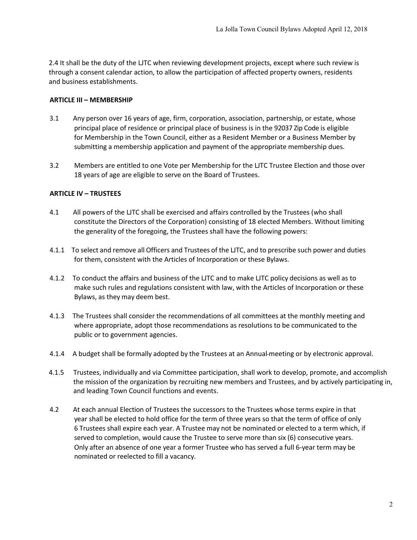2.4 It shall be the duty of the LJTC when reviewing development projects, except where such review is through a consent calendar action, to allow the participation of affected property owners, residents and business establishments.

### **ARTICLE III – MEMBERSHIP**

- 3.1 Any person over 16 years of age, firm, corporation, association, partnership, or estate, whose principal place of residence or principal place of business is in the 92037 Zip Code is eligible for Membership in the Town Council, either as a Resident Member or a Business Member by submitting a membership application and payment of the appropriate membership dues.
- 3.2 Members are entitled to one Vote per Membership for the LJTC Trustee Election and those over 18 years of age are eligible to serve on the Board of Trustees.

## **ARTICLE IV – TRUSTEES**

- 4.1 All powers of the LJTC shall be exercised and affairs controlled by the Trustees (who shall constitute the Directors of the Corporation) consisting of 18 elected Members. Without limiting the generality of the foregoing, the Trustees shall have the following powers:
- 4.1.1 To select and remove all Officers and Trustees of the LJTC, and to prescribe such power and duties for them, consistent with the Articles of Incorporation or these Bylaws.
- 4.1.2 To conduct the affairs and business of the LJTC and to make LJTC policy decisions as well as to make such rules and regulations consistent with law, with the Articles of Incorporation or these Bylaws, as they may deem best.
- 4.1.3 The Trustees shall consider the recommendations of all committees at the monthly meeting and where appropriate, adopt those recommendations as resolutions to be communicated to the public or to government agencies.
- 4.1.4 A budget shall be formally adopted by the Trustees at an Annual-meeting or by electronic approval.
- 4.1.5 Trustees, individually and via Committee participation, shall work to develop, promote, and accomplish the mission of the organization by recruiting new members and Trustees, and by actively participating in, and leading Town Council functions and events.
- 4.2 At each annual Election of Trustees the successors to the Trustees whose terms expire in that year shall be elected to hold office for the term of three years so that the term of office of only 6 Trustees shall expire each year. A Trustee may not be nominated or elected to a term which, if served to completion, would cause the Trustee to serve more than six (6) consecutive years. Only after an absence of one year a former Trustee who has served a full 6-year term may be nominated or reelected to fill a vacancy.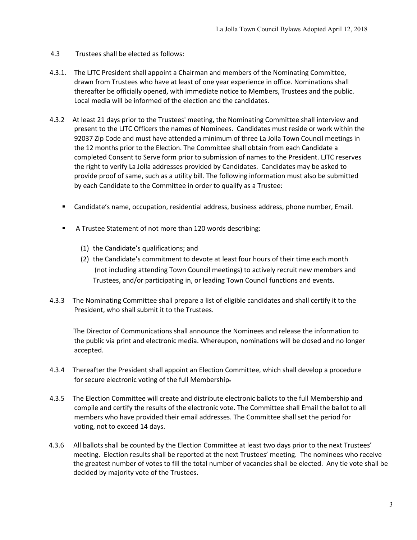- 4.3 Trustees shall be elected as follows:
- 4.3.1. The LJTC President shall appoint a Chairman and members of the Nominating Committee, drawn from Trustees who have at least of one year experience in office. Nominations shall thereafter be officially opened, with immediate notice to Members, Trustees and the public. Local media will be informed of the election and the candidates.
- 4.3.2 At least 21 days prior to the Trustees' meeting, the Nominating Committee shall interview and present to the LJTC Officers the names of Nominees. Candidates must reside or work within the 92037 Zip Code and must have attended a minimum of three La Jolla Town Council meetings in the 12 months prior to the Election. The Committee shall obtain from each Candidate a completed Consent to Serve form prior to submission of names to the President. LJTC reserves the right to verify La Jolla addresses provided by Candidates. Candidates may be asked to provide proof of same, such as a utility bill. The following information must also be submitted by each Candidate to the Committee in order to qualify as a Trustee:
	- Candidate's name, occupation, residential address, business address, phone number, Email.
	- A Trustee Statement of not more than 120 words describing:
		- (1) the Candidate's qualifications; and
		- (2) the Candidate's commitment to devote at least four hours of their time each month (not including attending Town Council meetings) to actively recruit new members and Trustees, and/or participating in, or leading Town Council functions and events.
- 4.3.3 The Nominating Committee shall prepare a list of eligible candidates and shall certify it to the President, who shall submit it to the Trustees.

 The Director of Communications shall announce the Nominees and release the information to the public via print and electronic media. Whereupon, nominations will be closed and no longer accepted.

- 4.3.4 Thereafter the President shall appoint an Election Committee, which shall develop a procedure for secure electronic voting of the full Membership.
- 4.3.5 The Election Committee will create and distribute electronic ballots to the full Membership and compile and certify the results of the electronic vote. The Committee shall Email the ballot to all members who have provided their email addresses. The Committee shall set the period for voting, not to exceed 14 days.
- 4.3.6 All ballots shall be counted by the Election Committee at least two days prior to the next Trustees' meeting. Election results shall be reported at the next Trustees' meeting. The nominees who receive the greatest number of votes to fill the total number of vacancies shall be elected. Any tie vote shall be decided by majority vote of the Trustees.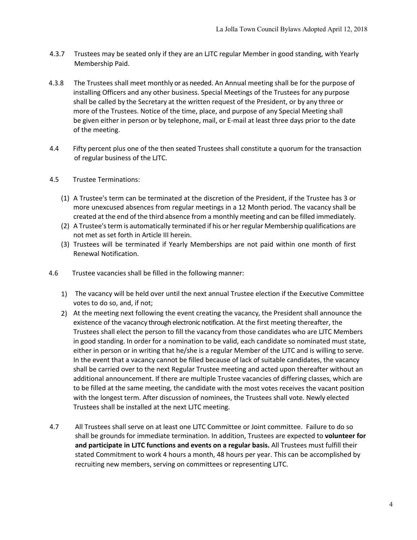- 4.3.7 Trustees may be seated only if they are an LJTC regular Member in good standing, with Yearly Membership Paid.
- 4.3.8 The Trustees shall meet monthly or as needed. An Annual meeting shall be for the purpose of installing Officers and any other business. Special Meetings of the Trustees for any purpose shall be called by the Secretary at the written request of the President, or by any three or more of the Trustees. Notice of the time, place, and purpose of any Special Meeting shall be given either in person or by telephone, mail, or E-mail at least three days prior to the date of the meeting.
- 4.4 Fifty percent plus one of the then seated Trustees shall constitute a quorum for the transaction of regular business of the LJTC.
- 4.5 Trustee Terminations:
	- (1) A Trustee's term can be terminated at the discretion of the President, if the Trustee has 3 or more unexcused absences from regular meetings in a 12 Month period. The vacancy shall be created at the end of the third absence from a monthly meeting and can be filled immediately.
	- (2) A Trustee's term is automatically terminated if his or her regular Membership qualifications are not met as set forth in Article III herein.
	- (3) Trustees will be terminated if Yearly Memberships are not paid within one month of first Renewal Notification.
- 4.6 Trustee vacancies shall be filled in the following manner:
	- 1) The vacancy will be held over until the next annual Trustee election if the Executive Committee votes to do so, and, if not;
	- 2) At the meeting next following the event creating the vacancy, the President shall announce the existence of the vacancy through electronic notification. At the first meeting thereafter, the Trustees shall elect the person to fill the vacancy from those candidates who are LJTC Members in good standing. In order for a nomination to be valid, each candidate so nominated must state, either in person or in writing that he/she is a regular Member of the LJTC and is willing to serve. In the event that a vacancy cannot be filled because of lack of suitable candidates, the vacancy shall be carried over to the next Regular Trustee meeting and acted upon thereafter without an additional announcement. If there are multiple Trustee vacancies of differing classes, which are to be filled at the same meeting, the candidate with the most votes receives the vacant position with the longest term. After discussion of nominees, the Trustees shall vote. Newly elected Trustees shall be installed at the next LJTC meeting.
- 4.7 All Trustees shall serve on at least one LJTC Committee or Joint committee. Failure to do so shall be grounds for immediate termination. In addition, Trustees are expected to **volunteer for and participate in LJTC functions and events on a regular basis.** All Trustees must fulfill their stated Commitment to work 4 hours a month, 48 hours per year. This can be accomplished by recruiting new members, serving on committees or representing LJTC.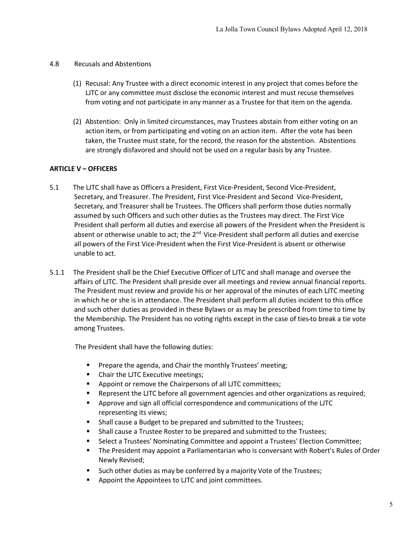### 4.8 Recusals and Abstentions

- (1) Recusal: Any Trustee with a direct economic interest in any project that comes before the LJTC or any committee must disclose the economic interest and must recuse themselves from voting and not participate in any manner as a Trustee for that item on the agenda.
- (2) Abstention: Only in limited circumstances, may Trustees abstain from either voting on an action item, or from participating and voting on an action item. After the vote has been taken, the Trustee must state, for the record, the reason for the abstention. Abstentions are strongly disfavored and should not be used on a regular basis by any Trustee.

# **ARTICLE V – OFFICERS**

- 5.1 The LJTC shall have as Officers a President, First Vice-President, Second Vice-President, Secretary, and Treasurer. The President, First Vice-President and Second Vice-President, Secretary, and Treasurer shall be Trustees. The Officers shall perform those duties normally assumed by such Officers and such other duties as the Trustees may direct. The First Vice President shall perform all duties and exercise all powers of the President when the President is absent or otherwise unable to act; the  $2<sup>nd</sup>$  Vice-President shall perform all duties and exercise all powers of the First Vice-President when the First Vice-President is absent or otherwise unable to act.
- 5.1.1 The President shall be the Chief Executive Officer of LJTC and shall manage and oversee the affairs of LJTC. The President shall preside over all meetings and review annual financial reports. The President must review and provide his or her approval of the minutes of each LJTC meeting in which he or she is in attendance. The President shall perform all duties incident to this office and such other duties as provided in these Bylaws or as may be prescribed from time to time by the Membership. The President has no voting rights except in the case of ties to break a tie vote among Trustees.

The President shall have the following duties:

- Prepare the agenda, and Chair the monthly Trustees' meeting;
- Chair the LJTC Executive meetings;
- Appoint or remove the Chairpersons of all LJTC committees;
- Represent the LJTC before all government agencies and other organizations as required;
- § Approve and sign all official correspondence and communications of the LJTC representing its views;
- Shall cause a Budget to be prepared and submitted to the Trustees;
- § Shall cause a Trustee Roster to be prepared and submitted to the Trustees;
- § Select a Trustees' Nominating Committee and appoint a Trustees' Election Committee;
- The President may appoint a Parliamentarian who is conversant with Robert's Rules of Order Newly Revised;
- Such other duties as may be conferred by a majority Vote of the Trustees;
- Appoint the Appointees to LJTC and joint committees.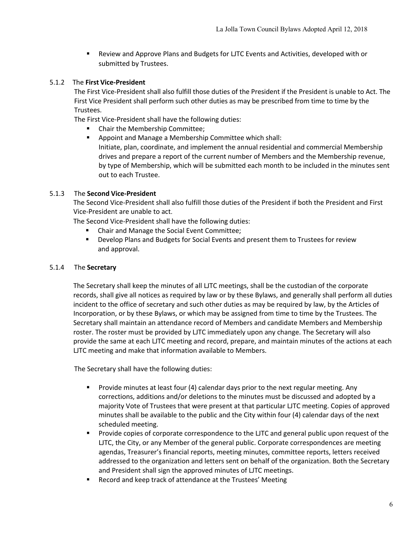■ Review and Approve Plans and Budgets for LJTC Events and Activities, developed with or submitted by Trustees.

## 5.1.2 The **First Vice-President**

The First Vice-President shall also fulfill those duties of the President if the President is unable to Act. The First Vice President shall perform such other duties as may be prescribed from time to time by the Trustees.

The First Vice-President shall have the following duties:

- Chair the Membership Committee;
- Appoint and Manage a Membership Committee which shall: Initiate, plan, coordinate, and implement the annual residential and commercial Membership drives and prepare a report of the current number of Members and the Membership revenue, by type of Membership, which will be submitted each month to be included in the minutes sent out to each Trustee.

#### 5.1.3 The **Second Vice-President**

The Second Vice-President shall also fulfill those duties of the President if both the President and First Vice-President are unable to act.

The Second Vice-President shall have the following duties:

- § Chair and Manage the Social Event Committee;
- Develop Plans and Budgets for Social Events and present them to Trustees for review and approval.

### 5.1.4 The **Secretary**

The Secretary shall keep the minutes of all LJTC meetings, shall be the custodian of the corporate records, shall give all notices as required by law or by these Bylaws, and generally shall perform all duties incident to the office of secretary and such other duties as may be required by law, by the Articles of Incorporation, or by these Bylaws, or which may be assigned from time to time by the Trustees. The Secretary shall maintain an attendance record of Members and candidate Members and Membership roster. The roster must be provided by LJTC immediately upon any change. The Secretary will also provide the same at each LJTC meeting and record, prepare, and maintain minutes of the actions at each LJTC meeting and make that information available to Members.

The Secretary shall have the following duties:

- Provide minutes at least four (4) calendar days prior to the next regular meeting. Any corrections, additions and/or deletions to the minutes must be discussed and adopted by a majority Vote of Trustees that were present at that particular LJTC meeting. Copies of approved minutes shall be available to the public and the City within four (4) calendar days of the next scheduled meeting.
- **•** Provide copies of corporate correspondence to the LJTC and general public upon request of the LJTC, the City, or any Member of the general public. Corporate correspondences are meeting agendas, Treasurer's financial reports, meeting minutes, committee reports, letters received addressed to the organization and letters sent on behalf of the organization. Both the Secretary and President shall sign the approved minutes of LJTC meetings.
- Record and keep track of attendance at the Trustees' Meeting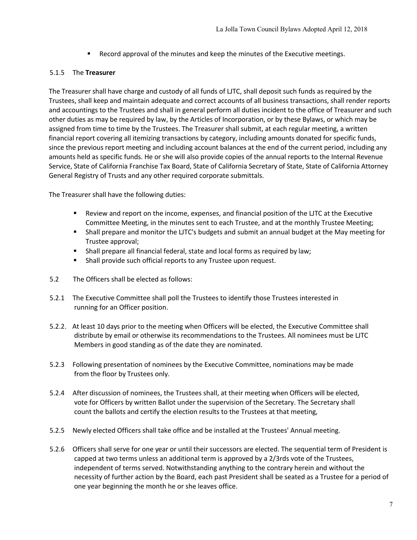Record approval of the minutes and keep the minutes of the Executive meetings.

## 5.1.5 The **Treasurer**

The Treasurer shall have charge and custody of all funds of LJTC, shall deposit such funds as required by the Trustees, shall keep and maintain adequate and correct accounts of all business transactions, shall render reports and accountings to the Trustees and shall in general perform all duties incident to the office of Treasurer and such other duties as may be required by law, by the Articles of Incorporation, or by these Bylaws, or which may be assigned from time to time by the Trustees. The Treasurer shall submit, at each regular meeting, a written financial report covering all itemizing transactions by category, including amounts donated for specific funds, since the previous report meeting and including account balances at the end of the current period, including any amounts held as specific funds. He or she will also provide copies of the annual reports to the Internal Revenue Service, State of California Franchise Tax Board, State of California Secretary of State, State of California Attorney General Registry of Trusts and any other required corporate submittals.

The Treasurer shall have the following duties:

- Review and report on the income, expenses, and financial position of the LJTC at the Executive Committee Meeting, in the minutes sent to each Trustee, and at the monthly Trustee Meeting;
- Shall prepare and monitor the LJTC's budgets and submit an annual budget at the May meeting for Trustee approval;
- Shall prepare all financial federal, state and local forms as required by law;
- Shall provide such official reports to any Trustee upon request.
- 5.2 The Officers shall be elected as follows:
- 5.2.1 The Executive Committee shall poll the Trustees to identify those Trustees interested in running for an Officer position.
- 5.2.2. At least 10 days prior to the meeting when Officers will be elected, the Executive Committee shall distribute by email or otherwise its recommendations to the Trustees. All nominees must be LJTC Members in good standing as of the date they are nominated.
- 5.2.3 Following presentation of nominees by the Executive Committee, nominations may be made from the floor by Trustees only.
- 5.2.4 After discussion of nominees, the Trustees shall, at their meeting when Officers will be elected, vote for Officers by written Ballot under the supervision of the Secretary. The Secretary shall count the ballots and certify the election results to the Trustees at that meeting,
- 5.2.5 Newly elected Officers shall take office and be installed at the Trustees' Annual meeting.
- 5.2.6 Officers shall serve for one year or until their successors are elected. The sequential term of President is capped at two terms unless an additional term is approved by a 2/3rds vote of the Trustees, independent of terms served. Notwithstanding anything to the contrary herein and without the necessity of further action by the Board, each past President shall be seated as a Trustee for a period of one year beginning the month he or she leaves office.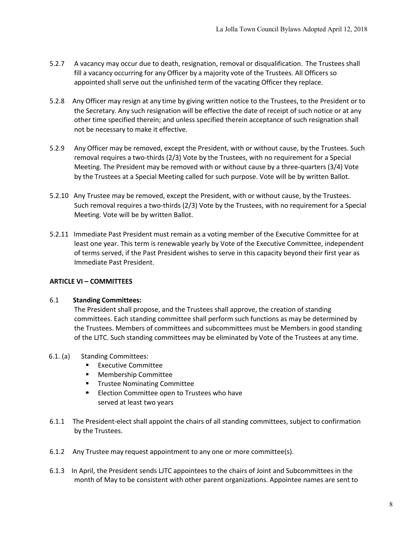- 5.2.7 A vacancy may occur due to death, resignation, removal or disqualification. The Trustees shall fill a vacancy occurring for any Officer by a majority vote of the Trustees. All Officers so appointed shall serve out the unfinished term of the vacating Officer they replace.
- 5.2.8 Any Officer may resign at any time by giving written notice to the Trustees, to the President or to the Secretary. Any such resignation will be effective the date of receipt of such notice or at any other time specified therein; and unless specified therein acceptance of such resignation shall not be necessary to make it effective.
- 5.2.9 Any Officer may be removed, except the President, with or without cause, by the Trustees. Such removal requires a two-thirds (2/3) Vote by the Trustees, with no requirement for a Special Meeting. The President may be removed with or without cause by a three-quarters (3/4) Vote by the Trustees at a Special Meeting called for such purpose. Vote will be by written Ballot.
- 5.2.10 Any Trustee may be removed, except the President, with or without cause, by the Trustees. Such removal requires a two-thirds (2/3) Vote by the Trustees, with no requirement for a Special Meeting. Vote will be by written Ballot.
- 5.2.11 Immediate Past President must remain as a voting member of the Executive Committee for at least one year. This term is renewable yearly by Vote of the Executive Committee, independent of terms served, if the Past President wishes to serve in this capacity beyond their first year as Immediate Past President.

# **ARTICLE VI – COMMITTEES**

#### 6.1 **Standing Committees:**

The President shall propose, and the Trustees shall approve, the creation of standing committees. Each standing committee shall perform such functions as may be determined by the Trustees. Members of committees and subcommittees must be Members in good standing of the LJTC. Such standing committees may be eliminated by Vote of the Trustees at any time.

#### 6.1. (a) Standing Committees:

- Executive Committee
- Membership Committee
- Trustee Nominating Committee
- **EXECTED ELECTION COMMITTEE OPEN TO Trustees who have** served at least two years
- 6.1.1 The President-elect shall appoint the chairs of all standing committees, subject to confirmation by the Trustees.
- 6.1.2 Any Trustee may request appointment to any one or more committee(s).
- 6.1.3 In April, the President sends LJTC appointees to the chairs of Joint and Subcommittees in the month of May to be consistent with other parent organizations. Appointee names are sent to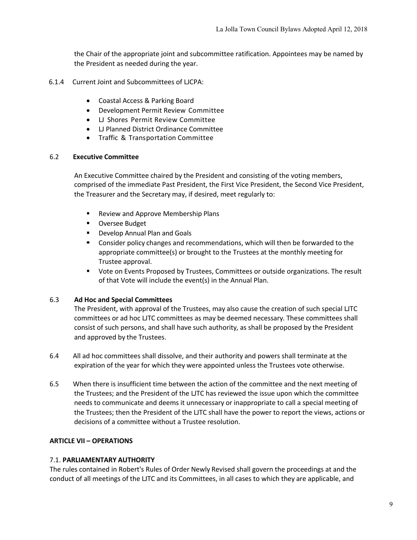the Chair of the appropriate joint and subcommittee ratification. Appointees may be named by the President as needed during the year.

- 6.1.4 Current Joint and Subcommittees of LJCPA:
	- Coastal Access & Parking Board
	- Development Permit Review Committee
	- LJ Shores Permit Review Committee
	- LJ Planned District Ordinance Committee
	- Traffic & Transportation Committee

#### 6.2 **Executive Committee**

An Executive Committee chaired by the President and consisting of the voting members, comprised of the immediate Past President, the First Vice President, the Second Vice President, the Treasurer and the Secretary may, if desired, meet regularly to:

- Review and Approve Membership Plans
- Oversee Budget
- Develop Annual Plan and Goals
- § Consider policy changes and recommendations, which will then be forwarded to the appropriate committee(s) or brought to the Trustees at the monthly meeting for Trustee approval.
- § Vote on Events Proposed by Trustees, Committees or outside organizations. The result of that Vote will include the event(s) in the Annual Plan.

#### 6.3 **Ad Hoc and Special Committees**

The President, with approval of the Trustees, may also cause the creation of such special LJTC committees or ad hoc LJTC committees as may be deemed necessary. These committees shall consist of such persons, and shall have such authority, as shall be proposed by the President and approved by the Trustees.

- 6.4 All ad hoc committees shall dissolve, and their authority and powers shall terminate at the expiration of the year for which they were appointed unless the Trustees vote otherwise.
- 6.5 When there is insufficient time between the action of the committee and the next meeting of the Trustees; and the President of the LJTC has reviewed the issue upon which the committee needs to communicate and deems it unnecessary or inappropriate to call a special meeting of the Trustees; then the President of the LJTC shall have the power to report the views, actions or decisions of a committee without a Trustee resolution.

#### **ARTICLE VII – OPERATIONS**

#### 7.1. **PARLIAMENTARY AUTHORITY**

The rules contained in Robert's Rules of Order Newly Revised shall govern the proceedings at and the conduct of all meetings of the LJTC and its Committees, in all cases to which they are applicable, and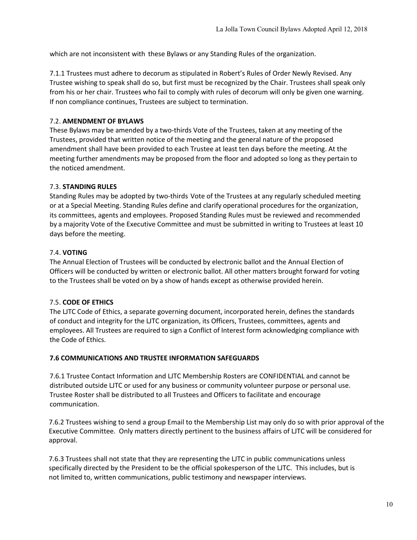which are not inconsistent with these Bylaws or any Standing Rules of the organization.

7.1.1 Trustees must adhere to decorum as stipulated in Robert's Rules of Order Newly Revised. Any Trustee wishing to speak shall do so, but first must be recognized by the Chair. Trustees shall speak only from his or her chair. Trustees who fail to comply with rules of decorum will only be given one warning. If non compliance continues, Trustees are subject to termination.

# 7.2. **AMENDMENT OF BYLAWS**

These Bylaws may be amended by a two-thirds Vote of the Trustees, taken at any meeting of the Trustees, provided that written notice of the meeting and the general nature of the proposed amendment shall have been provided to each Trustee at least ten days before the meeting. At the meeting further amendments may be proposed from the floor and adopted so long as they pertain to the noticed amendment.

## 7.3. **STANDING RULES**

Standing Rules may be adopted by two-thirds Vote of the Trustees at any regularly scheduled meeting or at a Special Meeting. Standing Rules define and clarify operational procedures for the organization, its committees, agents and employees. Proposed Standing Rules must be reviewed and recommended by a majority Vote of the Executive Committee and must be submitted in writing to Trustees at least 10 days before the meeting.

## 7.4. **VOTING**

The Annual Election of Trustees will be conducted by electronic ballot and the Annual Election of Officers will be conducted by written or electronic ballot. All other matters brought forward for voting to the Trustees shall be voted on by a show of hands except as otherwise provided herein.

# 7.5. **CODE OF ETHICS**

The LJTC Code of Ethics, a separate governing document, incorporated herein, defines the standards of conduct and integrity for the LJTC organization, its Officers, Trustees, committees, agents and employees. All Trustees are required to sign a Conflict of Interest form acknowledging compliance with the Code of Ethics.

#### **7.6 COMMUNICATIONS AND TRUSTEE INFORMATION SAFEGUARDS**

7.6.1 Trustee Contact Information and LJTC Membership Rosters are CONFIDENTIAL and cannot be distributed outside LJTC or used for any business or community volunteer purpose or personal use. Trustee Roster shall be distributed to all Trustees and Officers to facilitate and encourage communication.

7.6.2 Trustees wishing to send a group Email to the Membership List may only do so with prior approval of the Executive Committee. Only matters directly pertinent to the business affairs of LJTC will be considered for approval.

7.6.3 Trustees shall not state that they are representing the LJTC in public communications unless specifically directed by the President to be the official spokesperson of the LJTC. This includes, but is not limited to, written communications, public testimony and newspaper interviews.